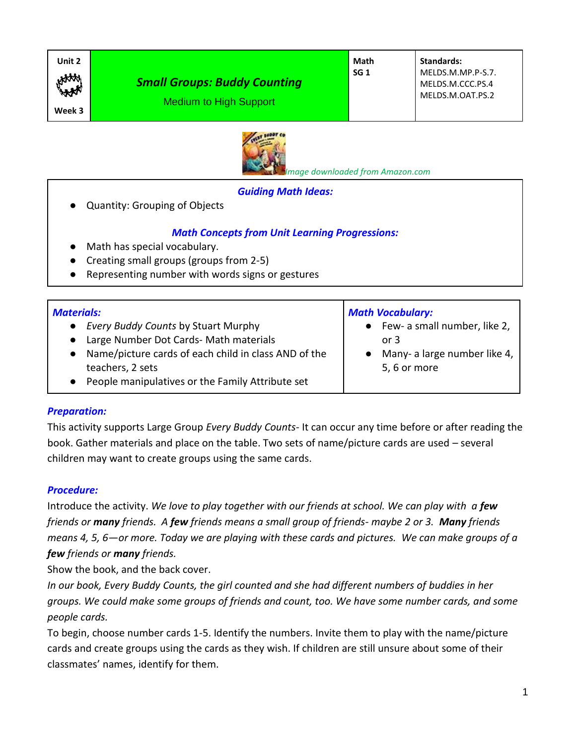

# *Small Groups: Buddy Counting*

Medium to High Support

**Standards:** MELDS.M.MP.P-S.7. MELDS.M.CCC.PS.4 MELDS.M.OAT.PS.2

**Week 3**



 *Image downloaded from Amazon.com*

#### *Guiding Math Ideas:*

Quantity: Grouping of Objects

#### *Math Concepts from Unit Learning Progressions:*

- Math has special vocabulary.
- Creating small groups (groups from 2-5)
- Representing number with words signs or gestures

# *Materials:*

- *Every Buddy Counts* by Stuart Murphy
- Large Number Dot Cards- Math materials
- Name/picture cards of each child in class AND of the teachers, 2 sets
- People manipulatives or the Family Attribute set

# *Math Vocabulary:*

- Few- a small number, like 2, or 3
- Many- a large number like 4, 5, 6 or more

# *Preparation:*

This activity supports Large Group *Every Buddy Counts-* It can occur any time before or after reading the book. Gather materials and place on the table. Two sets of name/picture cards are used – several children may want to create groups using the same cards.

# *Procedure:*

Introduce the activity. We love to play together with our friends at school. We can play with a *few friends or many friends. A few friends means a small group of friends- maybe 2 or 3. Many friends means 4, 5, 6—or more. Today we are playing with these cards and pictures. We can make groups of a few friends or many friends.*

Show the book, and the back cover.

*In our book, Every Buddy Counts, the girl counted and she had different numbers of buddies in her groups. We could make some groups of friends and count, too. We have some number cards, and some people cards.*

To begin, choose number cards 1-5. Identify the numbers. Invite them to play with the name/picture cards and create groups using the cards as they wish. If children are still unsure about some of their classmates' names, identify for them.